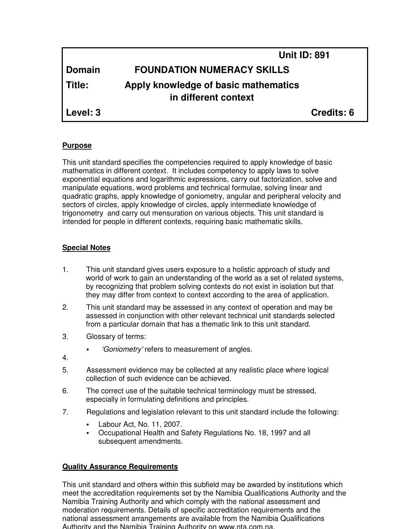|               |                                                              | <b>Unit ID: 891</b> |
|---------------|--------------------------------------------------------------|---------------------|
| <b>Domain</b> | <b>FOUNDATION NUMERACY SKILLS</b>                            |                     |
| Title:        | Apply knowledge of basic mathematics<br>in different context |                     |
| Level: 3      |                                                              | <b>Credits: 6</b>   |

# **Purpose**

This unit standard specifies the competencies required to apply knowledge of basic mathematics in different context. It includes competency to apply laws to solve exponential equations and logarithmic expressions, carry out factorization, solve and manipulate equations, word problems and technical formulae, solving linear and quadratic graphs, apply knowledge of goniometry, angular and peripheral velocity and sectors of circles, apply knowledge of circles, apply intermediate knowledge of trigonometry and carry out mensuration on various objects. This unit standard is intended for people in different contexts, requiring basic mathematic skills.

# **Special Notes**

- 1. This unit standard gives users exposure to a holistic approach of study and world of work to gain an understanding of the world as a set of related systems, by recognizing that problem solving contexts do not exist in isolation but that they may differ from context to context according to the area of application.
- 2. This unit standard may be assessed in any context of operation and may be assessed in conjunction with other relevant technical unit standards selected from a particular domain that has a thematic link to this unit standard.
- 3. Glossary of terms:
	- 'Goniometry' refers to measurement of angles.
- 4.
- 5. Assessment evidence may be collected at any realistic place where logical collection of such evidence can be achieved.
- 6. The correct use of the suitable technical terminology must be stressed, especially in formulating definitions and principles.
- 7. Regulations and legislation relevant to this unit standard include the following:
	- Labour Act, No. 11, 2007.
	- Occupational Health and Safety Regulations No. 18, 1997 and all subsequent amendments.

# **Quality Assurance Requirements**

This unit standard and others within this subfield may be awarded by institutions which meet the accreditation requirements set by the Namibia Qualifications Authority and the Namibia Training Authority and which comply with the national assessment and moderation requirements. Details of specific accreditation requirements and the national assessment arrangements are available from the Namibia Qualifications Authority and the Namibia Training Authority on www.nta.com.na.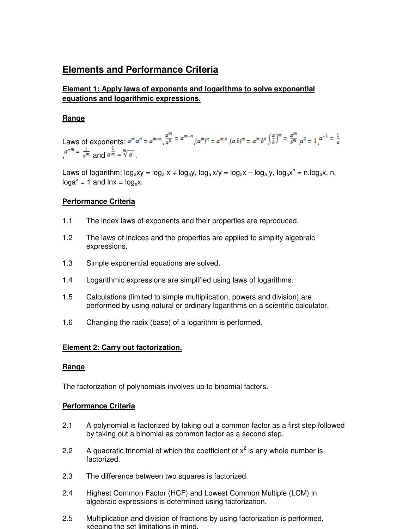# **Elements and Performance Criteria**

# **Element 1: Apply laws of exponents and logarithms to solve exponential equations and logarithmic expressions.**

# **Range**

Laws of exponents:  $a^m a^n = a^{m+n} \frac{a^m}{a^n} = a^{m-n} (a^m)^n = a^{m n} (a b)^m = a^m b^n \left(\frac{a}{b}\right)^m = \frac{a^m}{b^m} a^0 = 1$   $a^{-1} = \frac{1}{a}$  $a^{-m} = \frac{1}{a^m}$  and  $a^{\frac{1}{m}} = \sqrt[m]{a}$ 

Laws of logarithm:  $log_a xy = log_a x + log_a y$ ,  $log_a x/y = log_a x - log_a y$ ,  $log_a x^n = n.log_a x$ , n,  $log a^a = 1$  and  $ln x = log_e x$ .

# **Performance Criteria**

- 1.1 The index laws of exponents and their properties are reproduced.
- 1.2 The laws of indices and the properties are applied to simplify algebraic expressions.
- 1.3 Simple exponential equations are solved.
- 1.4 Logarithmic expressions are simplified using laws of logarithms.
- 1.5 Calculations (limited to simple multiplication, powers and division) are performed by using natural or ordinary logarithms on a scientific calculator.
- 1.6 Changing the radix (base) of a logarithm is performed.

# **Element 2: Carry out factorization.**

# **Range**

The factorization of polynomials involves up to binomial factors.

# **Performance Criteria**

- 2.1 A polynomial is factorized by taking out a common factor as a first step followed by taking out a binomial as common factor as a second step.
- 2.2 A quadratic trinomial of which the coefficient of  $x^2$  is any whole number is factorized.
- 2.3 The difference between two squares is factorized.
- 2.4 Highest Common Factor (HCF) and Lowest Common Multiple (LCM) in algebraic expressions is determined using factorization.
- 2.5 Multiplication and division of fractions by using factorization is performed, keeping the set limitations in mind.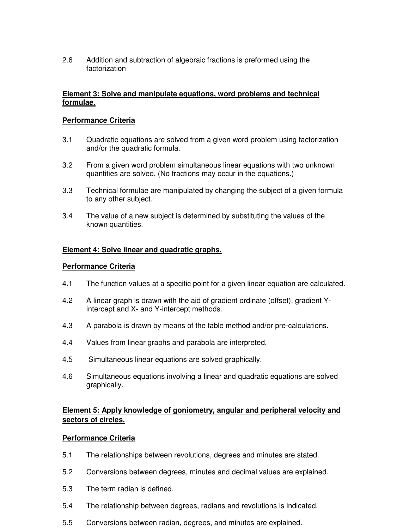2.6 Addition and subtraction of algebraic fractions is preformed using the factorization

#### **Element 3: Solve and manipulate equations, word problems and technical formulae.**

#### **Performance Criteria**

- 3.1 Quadratic equations are solved from a given word problem using factorization and/or the quadratic formula.
- 3.2 From a given word problem simultaneous linear equations with two unknown quantities are solved. (No fractions may occur in the equations.)
- 3.3 Technical formulae are manipulated by changing the subject of a given formula to any other subject.
- 3.4 The value of a new subject is determined by substituting the values of the known quantities.

#### **Element 4: Solve linear and quadratic graphs.**

#### **Performance Criteria**

- 4.1 The function values at a specific point for a given linear equation are calculated.
- 4.2 A linear graph is drawn with the aid of gradient ordinate (offset), gradient Yintercept and X- and Y-intercept methods.
- 4.3 A parabola is drawn by means of the table method and/or pre-calculations.
- 4.4 Values from linear graphs and parabola are interpreted.
- 4.5 Simultaneous linear equations are solved graphically.
- 4.6 Simultaneous equations involving a linear and quadratic equations are solved graphically.

# **Element 5: Apply knowledge of goniometry, angular and peripheral velocity and sectors of circles.**

#### **Performance Criteria**

- 5.1 The relationships between revolutions, degrees and minutes are stated.
- 5.2 Conversions between degrees, minutes and decimal values are explained.
- 5.3 The term radian is defined.
- 5.4 The relationship between degrees, radians and revolutions is indicated.
- 5.5 Conversions between radian, degrees, and minutes are explained.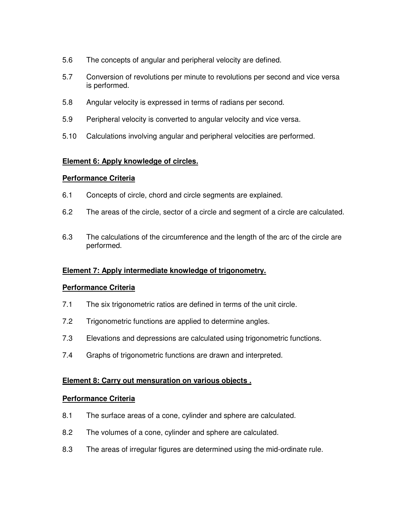- 5.6 The concepts of angular and peripheral velocity are defined.
- 5.7 Conversion of revolutions per minute to revolutions per second and vice versa is performed.
- 5.8 Angular velocity is expressed in terms of radians per second.
- 5.9 Peripheral velocity is converted to angular velocity and vice versa.
- 5.10 Calculations involving angular and peripheral velocities are performed.

# **Element 6: Apply knowledge of circles.**

#### **Performance Criteria**

- 6.1 Concepts of circle, chord and circle segments are explained.
- 6.2 The areas of the circle, sector of a circle and segment of a circle are calculated.
- 6.3 The calculations of the circumference and the length of the arc of the circle are performed.

# **Element 7: Apply intermediate knowledge of trigonometry.**

# **Performance Criteria**

- 7.1 The six trigonometric ratios are defined in terms of the unit circle.
- 7.2 Trigonometric functions are applied to determine angles.
- 7.3 Elevations and depressions are calculated using trigonometric functions.
- 7.4 Graphs of trigonometric functions are drawn and interpreted.

#### **Element 8: Carry out mensuration on various objects .**

#### **Performance Criteria**

- 8.1 The surface areas of a cone, cylinder and sphere are calculated.
- 8.2 The volumes of a cone, cylinder and sphere are calculated.
- 8.3 The areas of irregular figures are determined using the mid-ordinate rule.